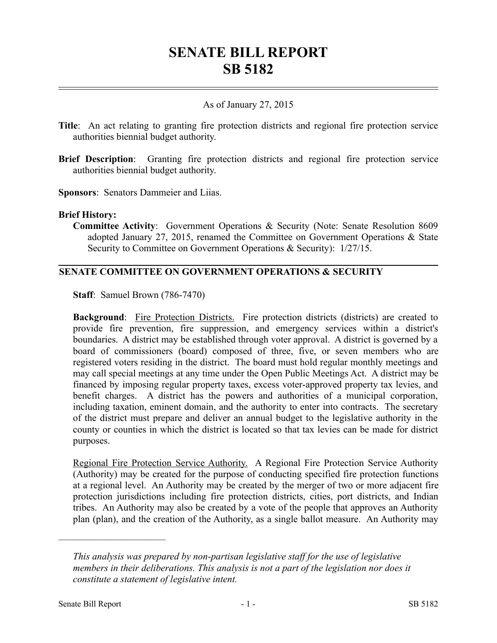# **SENATE BILL REPORT SB 5182**

# As of January 27, 2015

- **Title**: An act relating to granting fire protection districts and regional fire protection service authorities biennial budget authority.
- **Brief Description**: Granting fire protection districts and regional fire protection service authorities biennial budget authority.

**Sponsors**: Senators Dammeier and Liias.

#### **Brief History:**

**Committee Activity**: Government Operations & Security (Note: Senate Resolution 8609 adopted January 27, 2015, renamed the Committee on Government Operations & State Security to Committee on Government Operations & Security):  $1/27/15$ .

## **SENATE COMMITTEE ON GOVERNMENT OPERATIONS & SECURITY**

**Staff**: Samuel Brown (786-7470)

**Background:** Fire Protection Districts. Fire protection districts (districts) are created to provide fire prevention, fire suppression, and emergency services within a district's boundaries. A district may be established through voter approval. A district is governed by a board of commissioners (board) composed of three, five, or seven members who are registered voters residing in the district. The board must hold regular monthly meetings and may call special meetings at any time under the Open Public Meetings Act. A district may be financed by imposing regular property taxes, excess voter-approved property tax levies, and benefit charges. A district has the powers and authorities of a municipal corporation, including taxation, eminent domain, and the authority to enter into contracts. The secretary of the district must prepare and deliver an annual budget to the legislative authority in the county or counties in which the district is located so that tax levies can be made for district purposes.

Regional Fire Protection Service Authority. A Regional Fire Protection Service Authority (Authority) may be created for the purpose of conducting specified fire protection functions at a regional level. An Authority may be created by the merger of two or more adjacent fire protection jurisdictions including fire protection districts, cities, port districts, and Indian tribes. An Authority may also be created by a vote of the people that approves an Authority plan (plan), and the creation of the Authority, as a single ballot measure. An Authority may

––––––––––––––––––––––

*This analysis was prepared by non-partisan legislative staff for the use of legislative members in their deliberations. This analysis is not a part of the legislation nor does it constitute a statement of legislative intent.*